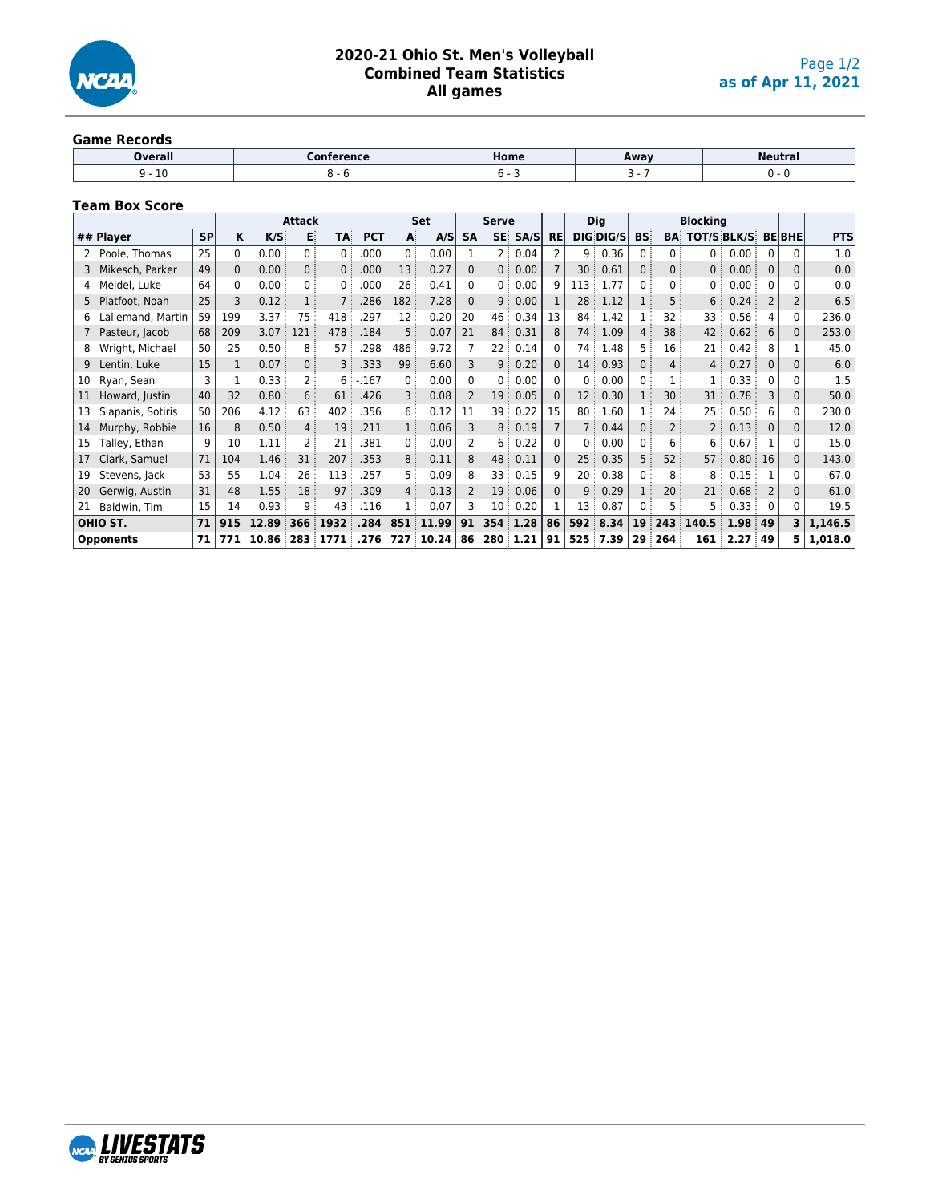

#### **Game Records**

| Overall | .<br>nn<br>ence | Home | Away | <b>Neutral</b> |
|---------|-----------------|------|------|----------------|
| ⊥∪      |                 |      |      |                |

### **Team Box Score**

|    |                   |           |                |       | <b>Attack</b>  |                |            |             | Set   |              | <b>Serve</b> |      |           |                 | <b>Dig</b>       |           |              | <b>Blocking</b>    |      |          |               |            |
|----|-------------------|-----------|----------------|-------|----------------|----------------|------------|-------------|-------|--------------|--------------|------|-----------|-----------------|------------------|-----------|--------------|--------------------|------|----------|---------------|------------|
|    | ## $Plaver$       | <b>SP</b> | Κİ             | K/S   | в              | <b>TA:</b>     | <b>PCT</b> | A           | A/S   | <b>SA</b>    | <b>SE</b>    | SA/S | <b>RE</b> |                 | <b>DIG DIG/S</b> | <b>BS</b> | <b>BA</b>    | <b>TOT/S BLK/S</b> |      |          | <b>BE BHE</b> | <b>PTS</b> |
|    | Poole, Thomas     | 25        | 0              | 0.00  | 0:             | 0              | .000       | $0^{\circ}$ | 0.00  |              | 2:           | 0.04 | 2         | ιg.             | 0.36             | 0         | $\Omega$     | 0:                 | 0.00 |          |               | 1.0        |
|    | Mikesch, Parker   | 49        | 0 <sup>3</sup> | 0.00  | 0 <sup>3</sup> | 0:             | .000       | 13          | 0.27  | 0            | 0:           | 0.00 |           | 30 <sup>3</sup> | 0.61             | 0         | $\mathbf{0}$ | 0:                 | 0.00 | $\Omega$ | 0             | 0.0        |
|    | Meidel, Luke      | 64        |                | 0.00  | 0              | 0              | .000       | 26          | 0.41  | 0            | 0:           | 0.00 | q         | 113             | 1.77             |           | 0            | 0                  | 0.00 |          |               | 0.0        |
| 5  | Platfoot, Noah    | 25        |                | 0.12  | $\mathbf{1}$   |                | .286       | 182         | 7.28  | $\mathbf{0}$ | 9:           | 0.00 |           | 28              | 1.12             |           |              | 6                  | 0.24 |          |               | 6.5        |
| 6  | Lallemand, Martin | 59        | 199            | 3.37  | 75             | 418            | 297        | 12          | 0.20  | 20           | 46           | 0.34 | 13        | 84              | 1.42             |           | 32           | 33                 | 0.56 | 4        | 0             | 236.0      |
|    | Pasteur, Jacob    | 68        | 209            | 3.07  | 121            | 478            | .184       | 5.          | 0.07  | 21           | 84           | 0.31 | 8         | 74:             | 1.09             | 4         | 38           | 42                 | 0.62 | 6        | $\Omega$      | 253.0      |
|    | Wright, Michael   | 50        | 25             | 0.50  | 8              | 57             | .298       | 486         | 9.72  |              | 22:          | 0.14 | 0         | 74              | 1.48             | 5.        | 16           | 21                 | 0.42 | 8        |               | 45.0       |
| q  | Lentin, Luke      | 15        |                | 0.07  | 0              | $\overline{3}$ | .333       | 99          | 6.60  | $\mathsf{R}$ | 9:           | 0.20 | $\Omega$  | 14:             | 0.93             |           | $\Delta$     | 4:                 | 0.27 |          |               | 6.0        |
| 10 | Ryan, Sean        | ς         |                | 0.33  | $\overline{2}$ | 6              | $-.167$    | 0           | 0.00  | 0            |              | 0.00 | U.        | 0               | 0.00             | 0         |              |                    | 0.33 |          |               | 1.5        |
| 11 | Howard, Justin    | 40        | 32             | 0.80  | 6 <sup>3</sup> | 61             | .426       | 3           | 0.08  |              | 19:          | 0.05 | $\Omega$  | 12              | 0.30             |           | 30           | 31                 | 0.78 | 3        |               | 50.0       |
| 13 | Siapanis, Sotiris | 50        | 206            | 4.12  | 63             | 402            | .356       | 6           | 0.12  | 11           | 39 i         | 0.22 | 15        | 80 <sup>3</sup> | 1.60             |           | 24           | 25                 | 0.50 | 6        | 0             | 230.0      |
| 14 | Murphy, Robbie    | 16        | 8              | 0.50  | $\overline{4}$ | 19             | 211        |             | 0.06  | 3            | 8:           | 0.19 |           | 7 <sup>3</sup>  | 0.44             |           |              |                    | 0.13 |          | 0             | 12.0       |
| 15 | Talley, Ethan     | q         | 10             | 1.11  | 2              | 21             | 381        | 0           | 0.00  |              | 6.           | 0.22 | U.        | 0.              | 0.00             |           |              | 6                  | 0.67 |          |               | 15.0       |
| 17 | Clark, Samuel     | 71        | 104            | 1.46  | 31             | 207            | 353        | 8           | 0.11  | 8            | 48           | 0.11 | 0         | 25              | 0.35             | 5         | 52           | 57                 | 0.80 | 16       | $\Omega$      | 143.0      |
| 19 | Stevens, Jack     | 53        | 55             | 1.04  | 26             | 113            | .257       | 5.          | 0.09  | 8            | 33 i         | 0.15 | 9         | 20              | 0.38             | U         | 8            | 8                  | 0.15 |          |               | 67.0       |
| 20 | Gerwig, Austin    | 31        | 48             | 1.55  | 18             | 97             | .309       | 4           | 0.13  | 2            | 19:          | 0.06 | 0         | 9               | 0.29             |           | 20           | 21                 | 0.68 |          | 0             | 61.0       |
| 21 | Baldwin, Tim      | 15        | 14             | 0.93  | 9              | 43             | .116       |             | 0.07  | 3            | 10:          | 0.20 |           | 13:             | 0.87             | 0         |              | 5:                 | 0.33 |          |               | 19.5       |
|    | OHIO ST.          | 71        | 915            | 12.89 | 366            | 1932           | .284       | 851         | 11.99 | 91           | 354          | 1.28 | 86        | 592             | 8.34             | 19        | 243          | 140.5              | 1.98 | 49       | 3             | 1,146.5    |
|    | <b>Opponents</b>  | 71        | 771            | 10.86 | 283            | 1771           | .276       | 727         | 10.24 | 86           | 280          | 1.21 | 91        | 525             | 7.39             | 29        | 264          | 161                | 2.27 | 49       | 5.            | 1,018.0    |

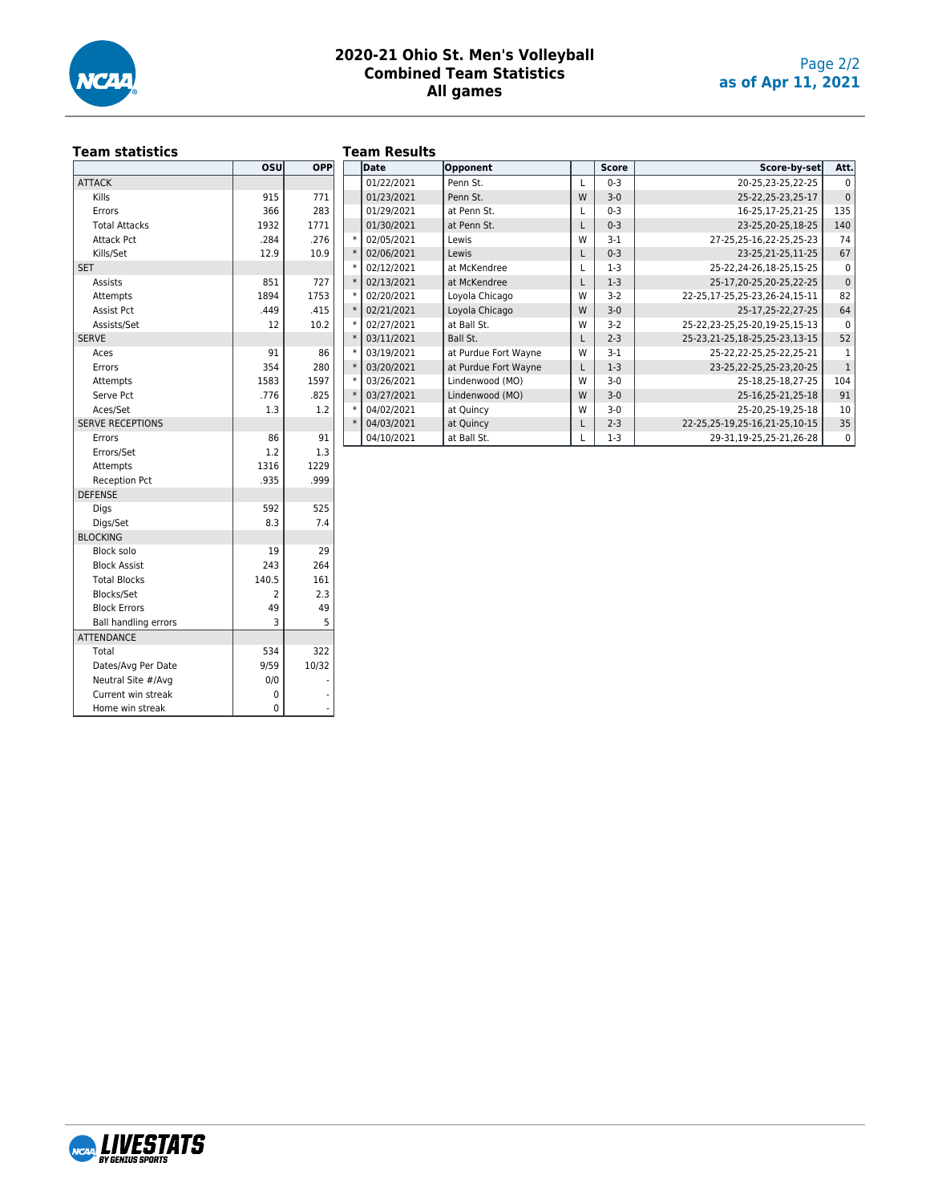

# **Team statistics**

## **Team Results**

|                             | OSU       | <b>OPP</b> |
|-----------------------------|-----------|------------|
| <b>ATTACK</b>               |           |            |
| Kills                       | 915       | 771        |
| Errors                      | 366       | 283        |
| <b>Total Attacks</b>        | 1932      | 1771       |
| <b>Attack Pct</b>           | .284      | .276       |
| Kills/Set                   | 12.9      | 10.9       |
| <b>SET</b>                  |           |            |
| <b>Assists</b>              | 851       | 727        |
| Attempts                    | 1894      | 1753       |
| <b>Assist Pct</b>           | .449      | .415       |
| Assists/Set                 | 12        | 10.2       |
| <b>SERVE</b>                |           |            |
| Aces                        | 91        | 86         |
| Errors                      | 354       | 280        |
|                             | 1583      | 1597       |
| Attempts<br>Serve Pct       | .776      | .825       |
| Aces/Set                    | 1.3       | 1.2        |
| <b>SERVE RECEPTIONS</b>     |           |            |
| Errors                      | 86        | 91         |
| Errors/Set                  | 1.2       | 1.3        |
|                             | 1316      | 1229       |
| Attempts                    | .935      |            |
| <b>Reception Pct</b>        |           | .999       |
| <b>DEFENSE</b>              |           |            |
| Digs                        | 592       | 525        |
| Digs/Set<br><b>BLOCKING</b> | 8.3       | 7.4        |
|                             |           |            |
| <b>Block solo</b>           | 19<br>243 | 29         |
| <b>Block Assist</b>         |           | 264        |
| <b>Total Blocks</b>         | 140.5     | 161        |
| Blocks/Set                  | 2         | 2.3        |
| <b>Block Errors</b>         | 49        | 49         |
| <b>Ball handling errors</b> | 3         | 5          |
| <b>ATTENDANCE</b>           |           |            |
| Total                       | 534       | 322        |
| Dates/Avg Per Date          | 9/59      | 10/32      |
| Neutral Site #/Avg          | 0/0       |            |
| Current win streak          | 0         |            |
| Home win streak             | 0         |            |

|        |        | .           |                      |   |              |                                   |              |
|--------|--------|-------------|----------------------|---|--------------|-----------------------------------|--------------|
| ∣PP∣   |        | <b>Date</b> | Opponent             |   | <b>Score</b> | Score-by-set                      | Att.         |
|        |        | 01/22/2021  | Penn St.             |   | $0 - 3$      | 20-25,23-25,22-25                 | $\Omega$     |
| 71     |        | 01/23/2021  | Penn St.             | W | $3 - 0$      | 25-22, 25-23, 25-17               | $\mathbf{0}$ |
| 83     |        | 01/29/2021  | at Penn St.          |   | $0 - 3$      | 16-25,17-25,21-25                 | 135          |
| 71     |        | 01/30/2021  | at Penn St.          |   | $0 - 3$      | 23-25.20-25.18-25                 | 140          |
| 76     | $\ast$ | 02/05/2021  | Lewis                | W | $3-1$        | 27-25,25-16,22-25,25-23           | 74           |
| 0.9    | $\ast$ | 02/06/2021  | Lewis                |   | $0 - 3$      | 23-25, 21-25, 11-25               | 67           |
|        |        | 02/12/2021  | at McKendree         |   | $1-3$        | 25-22, 24-26, 18-25, 15-25        | $\mathbf 0$  |
| 27     | $\ast$ | 02/13/2021  | at McKendree         |   | $1-3$        | 25-17, 20-25, 20-25, 22-25        | $\mathbf{0}$ |
| 53     | $\ast$ | 02/20/2021  | Loyola Chicago       | W | $3-2$        | 22-25, 17-25, 25-23, 26-24, 15-11 | 82           |
| 15     | $\ast$ | 02/21/2021  | Loyola Chicago       | W | $3-0$        | 25-17,25-22,27-25                 | 64           |
| 0.2    | $\ast$ | 02/27/2021  | at Ball St.          | W | $3-2$        | 25-22, 23-25, 25-20, 19-25, 15-13 | $\Omega$     |
|        |        | 03/11/2021  | Ball St.             |   | $2 - 3$      | 25-23, 21-25, 18-25, 25-23, 13-15 | 52           |
| 86     | $\ast$ | 03/19/2021  | at Purdue Fort Wayne | W | $3-1$        | 25-22, 22-25, 25-22, 25-21        | 1            |
| 80     | $\ast$ | 03/20/2021  | at Purdue Fort Wayne |   | $1-3$        | 23-25, 22-25, 25-23, 20-25        | $\mathbf{1}$ |
| 97     |        | 03/26/2021  | Lindenwood (MO)      | W | $3-0$        | 25-18.25-18.27-25                 | 104          |
| 25     | $\ast$ | 03/27/2021  | Lindenwood (MO)      | W | $3-0$        | 25-16,25-21,25-18                 | 91           |
| $^{2}$ |        | 04/02/2021  | at Quincy            | W | $3-0$        | 25-20, 25-19, 25-18               | 10           |
|        |        | 04/03/2021  | at Quincy            |   | $2 - 3$      | 22-25, 25-19, 25-16, 21-25, 10-15 | 35           |
| 91     |        | 04/10/2021  | at Ball St.          |   | $1-3$        | 29-31,19-25,25-21,26-28           | $\mathbf 0$  |

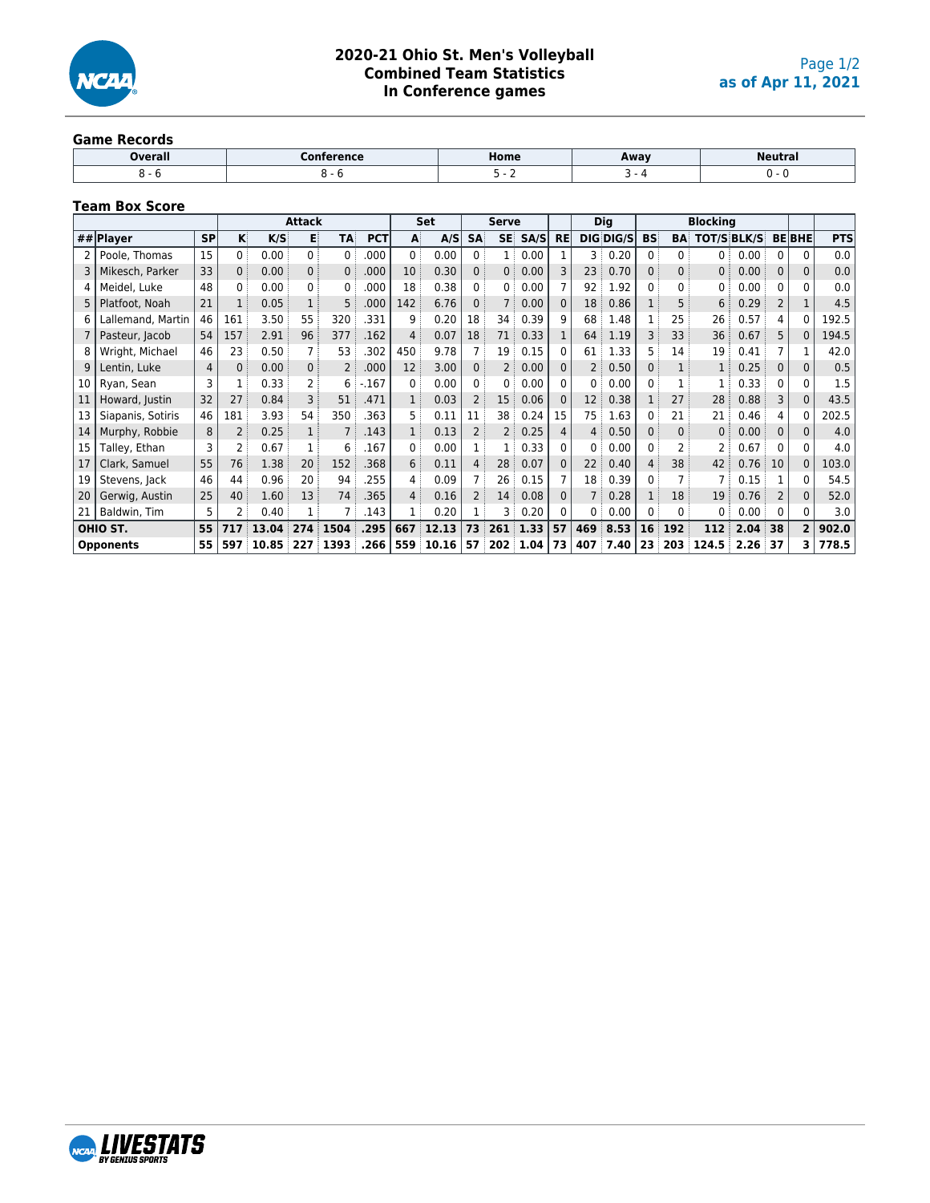

#### **Game Records**

| <b>Dverall</b> | `onference | Home | Away | Neutra <sub>1</sub> |
|----------------|------------|------|------|---------------------|
|                |            |      |      |                     |

## **Team Box Score**

|    |                   |           |     |       | <b>Attack</b> |                |            |                   | Set   |                 | <b>Serve</b>   |                 |           |     | Dig       |             |                | <b>Blocking</b> |                    |          |              |            |
|----|-------------------|-----------|-----|-------|---------------|----------------|------------|-------------------|-------|-----------------|----------------|-----------------|-----------|-----|-----------|-------------|----------------|-----------------|--------------------|----------|--------------|------------|
|    | ## $Plaver$       | <b>SP</b> | κİ  | K/S   | в             | TA             | <b>PCT</b> | A                 | A/S   | <b>SA</b>       | <b>SE</b>      | SA/S            | <b>RE</b> |     | DIS DIS/S | <b>BS:</b>  | <b>BA</b>      |                 | <b>TOT/S BLK/S</b> |          | <b>BEBHE</b> | <b>PTS</b> |
|    | Poole, Thomas     | 15        | 0   | 0.00  | 0             | 0 <sup>1</sup> | .000       | 0                 | 0.00  | $\Omega$        |                | 0.00            |           | 3   | 0.20      | $0^{\circ}$ | 0              | 0:              | 0.00               | 0        |              | 0.0        |
|    | Mikesch, Parker   | 33        | 0   | 0.00  | $\Omega$      | 0              | .000       | 10 <sup>°</sup>   | 0.30  |                 | 0:             | 0.00            |           | 23  | 0.70      | $\Omega$    | $\overline{0}$ | 0:              | 0.00               | $\Omega$ | 0            | 0.0        |
| 4  | Meidel, Luke      | 48        | 0   | 0.00  | 0             | 0              | .000       | 18                | 0.38  |                 | 0:             | 0.00            |           | 92  | 1.92      |             | 0              | 0               | 0.00               |          |              | 0.0        |
|    | Platfoot, Noah    | 21        |     | 0.05  |               | 5              | .000       | 142               | 6.76  |                 |                | 0.00            |           | 18  | 0.86      |             | 5              | 6               | 0.29               | 2        |              | 4.5        |
| 6  | Lallemand, Martin | 46        | 161 | 3.50  | 55            | 320            | .331       | 9                 | 0.20  | 18              | 34             | 0.39            |           | 68  | 1.48      |             | 25             | 26              | 0.57               | 4        |              | 192.5      |
|    | Pasteur, Jacob    | 54        | 157 | 2.91  | 96            | 377            | .162       | $\overline{4}$    | 0.07  | 18              | 71             | 0.33            |           | 64  | 1.19      | 3           | 33             | 36              | 0.67               | 5        |              | 194.5      |
|    | Wright, Michael   | 46        | 23  | 0.50  |               | 53             | .302       | 450               | 9.78  |                 | 19:            | 0.15            |           | 61  | 1.33      | 5.          | 14             | 19              | 0.41               |          |              | 42.0       |
| 9  | Lentin, Luke      | 4         | 0   | 0.00  | $\Omega$      | $\overline{2}$ | .000       | $12 \overline{ }$ | 3.00  | $\Omega$        | $\overline{2}$ | 0.00            |           |     | 0.50      | 0           |                |                 | 0.25               | 0        | 0            | 0.5        |
| 10 | Ryan, Sean        | 3         |     | 0.33  |               | 6              | $-.167$    | $\Omega$          | 0.00  | <sup>n</sup>    | 0              | 0.00            |           | 0   | 0.00      | 0           |                |                 | 0.33               | 0        | 0            | 1.5        |
| 11 | Howard, Justin    | 32        | 27  | 0.84  |               | 51             | .471       | 1:                | 0.03  |                 | 15             | 0.06            |           | 12  | 0.38      |             | 27             | 28              | 0.88               | 3        | 0            | 43.5       |
| 13 | Siapanis, Sotiris | 46        | 181 | 3.93  | 54            | 350            | .363       | 5                 | 0.11  | 11              | 38             | 0.24            | 15        | 75  | 1.63      | 0           | 21             | 21              | 0.46               |          |              | 202.5      |
| 14 | Murphy, Robbie    | 8         |     | 0.25  |               |                | .143       | 1:                | 0.13  |                 | 2              | 0.25            |           |     | 0.50      | 0           | $\Omega$       | $\Omega$ :      | 0.00               | $\Omega$ | 0            | 4.0        |
| 15 | Talley, Ethan     | 3         | 2   | 0.67  |               | 6              | .167       | $\Omega$          | 0.00  |                 | $\mathbf{1}$   | 0.33            |           | 0   | 0.00      | 0           | 2              |                 | 0.67               | 0        | U.           | 4.0        |
| 17 | Clark, Samuel     | 55        | 76  | 1.38  | 20            | 152            | .368       | 6:                | 0.11  | 4               | 28             | 0.07            |           | 22  | 0.40      | 4           | 38             | 42              | 0.76               | 10       | 0            | 103.0      |
| 19 | Stevens, Jack     | 46        | 44  | 0.96  | 20            | 94             | .255       | $\overline{4}$    | 0.09  |                 | 26             | 0.15            |           | 18  | 0.39      | 0           |                |                 | 0.15               |          |              | 54.5       |
| 20 | Gerwig, Austin    | 25        | 40  | 1.60  | 13            | 74             | .365       | 4:                | 0.16  |                 | 14:            | 0.08            |           |     | 0.28      |             | 18             | 19              | 0.76               |          |              | 52.0       |
| 21 | Baldwin, Tim      | 5         | 2   | 0.40  |               |                | .143       |                   | 0.20  |                 | 3              | 0.20            |           | 0   | 0.00      | 0           | 0              |                 | 0.00               | n        |              | 3.0        |
|    | OHIO ST.          | 55        | 717 | 13.04 | 274           | 1504           | .295       | 667               | 12.13 | 73              |                | $261 \mid 1.33$ | 57        | 469 | 8.53      | 16          | 192            | 112             | 2.04               | 38       | 2            | 902.0      |
|    | <b>Opponents</b>  | 55        | 597 | 10.85 | 227           | 1393           | .266       | 559               | 10.16 | 57 <sup>3</sup> |                | 202 1.04        | 73        | 407 | 7.40      | 23          | 203            | 124.5           | 2.26               | 37       |              | 778.5      |